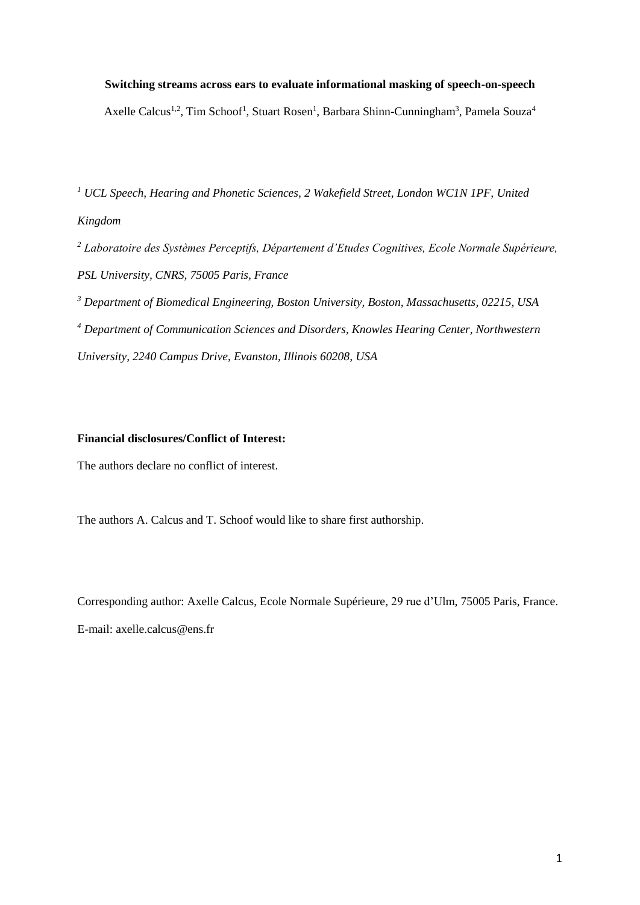# **Switching streams across ears to evaluate informational masking of speech-on-speech** Axelle Calcus<sup>1,2</sup>, Tim Schoof<sup>1</sup>, Stuart Rosen<sup>1</sup>, Barbara Shinn-Cunningham<sup>3</sup>, Pamela Souza<sup>4</sup>

*<sup>1</sup> UCL Speech, Hearing and Phonetic Sciences, 2 Wakefield Street, London WC1N 1PF, United Kingdom*

*<sup>2</sup> Laboratoire des Systèmes Perceptifs, Département d'Etudes Cognitives, Ecole Normale Supérieure, PSL University, CNRS, 75005 Paris, France*

*<sup>3</sup> Department of Biomedical Engineering, Boston University, Boston, Massachusetts, 02215, USA <sup>4</sup> Department of Communication Sciences and Disorders, Knowles Hearing Center, Northwestern University, 2240 Campus Drive, Evanston, Illinois 60208, USA*

# **Financial disclosures/Conflict of Interest:**

The authors declare no conflict of interest.

The authors A. Calcus and T. Schoof would like to share first authorship.

Corresponding author: Axelle Calcus, Ecole Normale Supérieure, 29 rue d'Ulm, 75005 Paris, France. E-mail: axelle.calcus@ens.fr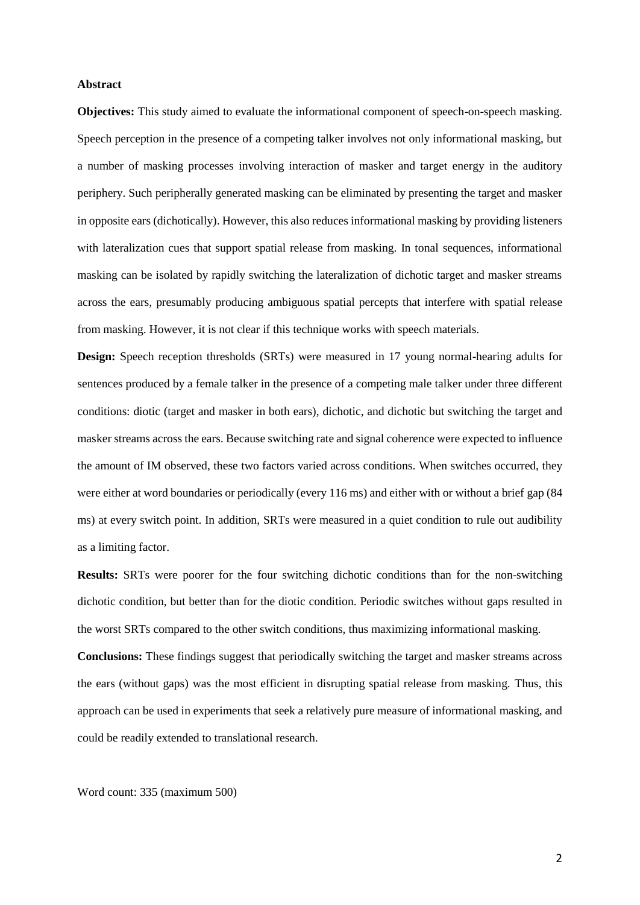#### **Abstract**

**Objectives:** This study aimed to evaluate the informational component of speech-on-speech masking. Speech perception in the presence of a competing talker involves not only informational masking, but a number of masking processes involving interaction of masker and target energy in the auditory periphery. Such peripherally generated masking can be eliminated by presenting the target and masker in opposite ears (dichotically). However, this also reduces informational masking by providing listeners with lateralization cues that support spatial release from masking. In tonal sequences, informational masking can be isolated by rapidly switching the lateralization of dichotic target and masker streams across the ears, presumably producing ambiguous spatial percepts that interfere with spatial release from masking. However, it is not clear if this technique works with speech materials.

**Design:** Speech reception thresholds (SRTs) were measured in 17 young normal-hearing adults for sentences produced by a female talker in the presence of a competing male talker under three different conditions: diotic (target and masker in both ears), dichotic, and dichotic but switching the target and masker streams across the ears. Because switching rate and signal coherence were expected to influence the amount of IM observed, these two factors varied across conditions. When switches occurred, they were either at word boundaries or periodically (every 116 ms) and either with or without a brief gap (84 ms) at every switch point. In addition, SRTs were measured in a quiet condition to rule out audibility as a limiting factor.

**Results:** SRTs were poorer for the four switching dichotic conditions than for the non-switching dichotic condition, but better than for the diotic condition. Periodic switches without gaps resulted in the worst SRTs compared to the other switch conditions, thus maximizing informational masking.

**Conclusions:** These findings suggest that periodically switching the target and masker streams across the ears (without gaps) was the most efficient in disrupting spatial release from masking. Thus, this approach can be used in experiments that seek a relatively pure measure of informational masking, and could be readily extended to translational research.

Word count: 335 (maximum 500)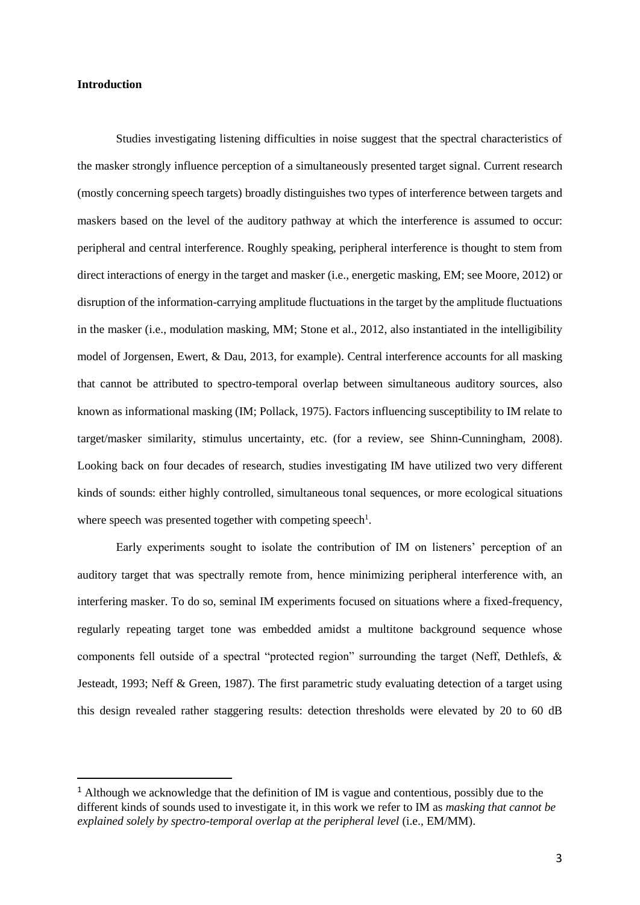#### **Introduction**

<u>.</u>

Studies investigating listening difficulties in noise suggest that the spectral characteristics of the masker strongly influence perception of a simultaneously presented target signal. Current research (mostly concerning speech targets) broadly distinguishes two types of interference between targets and maskers based on the level of the auditory pathway at which the interference is assumed to occur: peripheral and central interference. Roughly speaking, peripheral interference is thought to stem from direct interactions of energy in the target and masker (i.e., energetic masking, EM; see Moore, 2012) or disruption of the information-carrying amplitude fluctuations in the target by the amplitude fluctuations in the masker (i.e., modulation masking, MM; Stone et al., 2012, also instantiated in the intelligibility model of Jorgensen, Ewert, & Dau, 2013, for example). Central interference accounts for all masking that cannot be attributed to spectro-temporal overlap between simultaneous auditory sources, also known as informational masking (IM; Pollack, 1975). Factors influencing susceptibility to IM relate to target/masker similarity, stimulus uncertainty, etc. (for a review, see Shinn-Cunningham, 2008). Looking back on four decades of research, studies investigating IM have utilized two very different kinds of sounds: either highly controlled, simultaneous tonal sequences, or more ecological situations where speech was presented together with competing speech<sup>1</sup>.

Early experiments sought to isolate the contribution of IM on listeners' perception of an auditory target that was spectrally remote from, hence minimizing peripheral interference with, an interfering masker. To do so, seminal IM experiments focused on situations where a fixed-frequency, regularly repeating target tone was embedded amidst a multitone background sequence whose components fell outside of a spectral "protected region" surrounding the target (Neff, Dethlefs, & Jesteadt, 1993; Neff & Green, 1987). The first parametric study evaluating detection of a target using this design revealed rather staggering results: detection thresholds were elevated by 20 to 60 dB

<sup>&</sup>lt;sup>1</sup> Although we acknowledge that the definition of IM is vague and contentious, possibly due to the different kinds of sounds used to investigate it, in this work we refer to IM as *masking that cannot be explained solely by spectro-temporal overlap at the peripheral level* (i.e., EM/MM).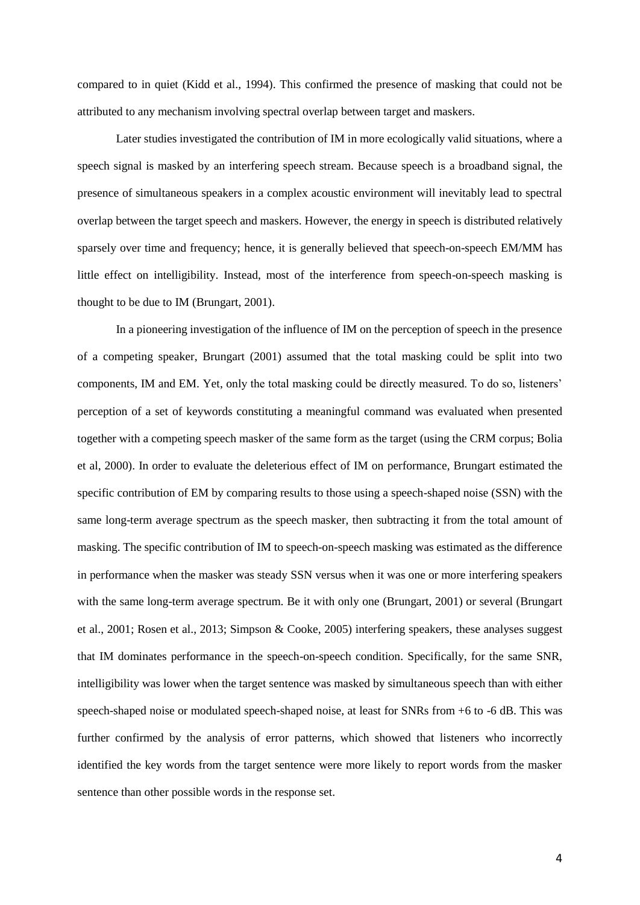compared to in quiet (Kidd et al., 1994). This confirmed the presence of masking that could not be attributed to any mechanism involving spectral overlap between target and maskers.

Later studies investigated the contribution of IM in more ecologically valid situations, where a speech signal is masked by an interfering speech stream. Because speech is a broadband signal, the presence of simultaneous speakers in a complex acoustic environment will inevitably lead to spectral overlap between the target speech and maskers. However, the energy in speech is distributed relatively sparsely over time and frequency; hence, it is generally believed that speech-on-speech EM/MM has little effect on intelligibility. Instead, most of the interference from speech-on-speech masking is thought to be due to IM (Brungart, 2001).

In a pioneering investigation of the influence of IM on the perception of speech in the presence of a competing speaker, Brungart (2001) assumed that the total masking could be split into two components, IM and EM. Yet, only the total masking could be directly measured. To do so, listeners' perception of a set of keywords constituting a meaningful command was evaluated when presented together with a competing speech masker of the same form as the target (using the CRM corpus; Bolia et al, 2000). In order to evaluate the deleterious effect of IM on performance, Brungart estimated the specific contribution of EM by comparing results to those using a speech-shaped noise (SSN) with the same long-term average spectrum as the speech masker, then subtracting it from the total amount of masking. The specific contribution of IM to speech-on-speech masking was estimated as the difference in performance when the masker was steady SSN versus when it was one or more interfering speakers with the same long-term average spectrum. Be it with only one (Brungart, 2001) or several (Brungart et al., 2001; Rosen et al., 2013; Simpson & Cooke, 2005) interfering speakers, these analyses suggest that IM dominates performance in the speech-on-speech condition. Specifically, for the same SNR, intelligibility was lower when the target sentence was masked by simultaneous speech than with either speech-shaped noise or modulated speech-shaped noise, at least for SNRs from +6 to -6 dB. This was further confirmed by the analysis of error patterns, which showed that listeners who incorrectly identified the key words from the target sentence were more likely to report words from the masker sentence than other possible words in the response set.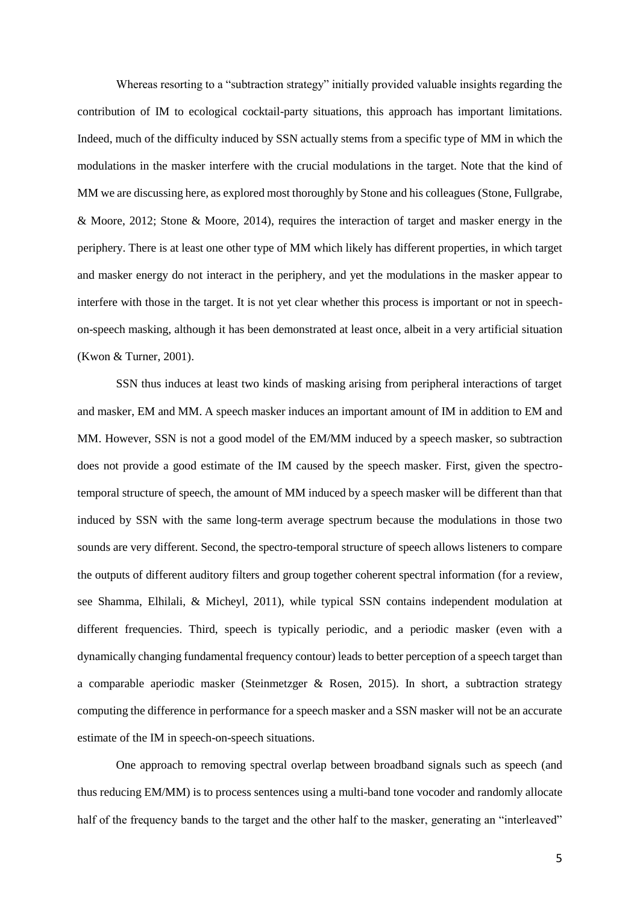Whereas resorting to a "subtraction strategy" initially provided valuable insights regarding the contribution of IM to ecological cocktail-party situations, this approach has important limitations. Indeed, much of the difficulty induced by SSN actually stems from a specific type of MM in which the modulations in the masker interfere with the crucial modulations in the target. Note that the kind of MM we are discussing here, as explored most thoroughly by Stone and his colleagues (Stone, Fullgrabe, & Moore, 2012; Stone & Moore, 2014), requires the interaction of target and masker energy in the periphery. There is at least one other type of MM which likely has different properties, in which target and masker energy do not interact in the periphery, and yet the modulations in the masker appear to interfere with those in the target. It is not yet clear whether this process is important or not in speechon-speech masking, although it has been demonstrated at least once, albeit in a very artificial situation (Kwon & Turner, 2001).

SSN thus induces at least two kinds of masking arising from peripheral interactions of target and masker, EM and MM. A speech masker induces an important amount of IM in addition to EM and MM. However, SSN is not a good model of the EM/MM induced by a speech masker, so subtraction does not provide a good estimate of the IM caused by the speech masker. First, given the spectrotemporal structure of speech, the amount of MM induced by a speech masker will be different than that induced by SSN with the same long-term average spectrum because the modulations in those two sounds are very different. Second, the spectro-temporal structure of speech allows listeners to compare the outputs of different auditory filters and group together coherent spectral information (for a review, see Shamma, Elhilali, & Micheyl, 2011), while typical SSN contains independent modulation at different frequencies. Third, speech is typically periodic, and a periodic masker (even with a dynamically changing fundamental frequency contour) leads to better perception of a speech target than a comparable aperiodic masker (Steinmetzger & Rosen, 2015). In short, a subtraction strategy computing the difference in performance for a speech masker and a SSN masker will not be an accurate estimate of the IM in speech-on-speech situations.

One approach to removing spectral overlap between broadband signals such as speech (and thus reducing EM/MM) is to process sentences using a multi-band tone vocoder and randomly allocate half of the frequency bands to the target and the other half to the masker, generating an "interleaved"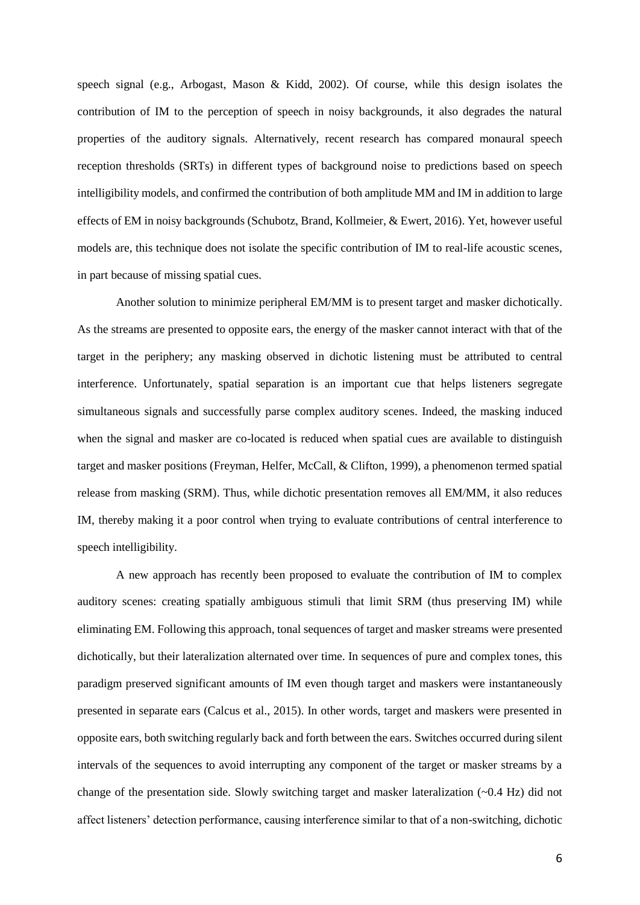speech signal (e.g., Arbogast, Mason & Kidd, 2002). Of course, while this design isolates the contribution of IM to the perception of speech in noisy backgrounds, it also degrades the natural properties of the auditory signals. Alternatively, recent research has compared monaural speech reception thresholds (SRTs) in different types of background noise to predictions based on speech intelligibility models, and confirmed the contribution of both amplitude MM and IM in addition to large effects of EM in noisy backgrounds (Schubotz, Brand, Kollmeier, & Ewert, 2016). Yet, however useful models are, this technique does not isolate the specific contribution of IM to real-life acoustic scenes, in part because of missing spatial cues.

Another solution to minimize peripheral EM/MM is to present target and masker dichotically. As the streams are presented to opposite ears, the energy of the masker cannot interact with that of the target in the periphery; any masking observed in dichotic listening must be attributed to central interference. Unfortunately, spatial separation is an important cue that helps listeners segregate simultaneous signals and successfully parse complex auditory scenes. Indeed, the masking induced when the signal and masker are co-located is reduced when spatial cues are available to distinguish target and masker positions (Freyman, Helfer, McCall, & Clifton, 1999), a phenomenon termed spatial release from masking (SRM). Thus, while dichotic presentation removes all EM/MM, it also reduces IM, thereby making it a poor control when trying to evaluate contributions of central interference to speech intelligibility.

A new approach has recently been proposed to evaluate the contribution of IM to complex auditory scenes: creating spatially ambiguous stimuli that limit SRM (thus preserving IM) while eliminating EM. Following this approach, tonal sequences of target and masker streams were presented dichotically, but their lateralization alternated over time. In sequences of pure and complex tones, this paradigm preserved significant amounts of IM even though target and maskers were instantaneously presented in separate ears (Calcus et al., 2015). In other words, target and maskers were presented in opposite ears, both switching regularly back and forth between the ears. Switches occurred during silent intervals of the sequences to avoid interrupting any component of the target or masker streams by a change of the presentation side. Slowly switching target and masker lateralization  $(\sim 0.4 \text{ Hz})$  did not affect listeners' detection performance, causing interference similar to that of a non-switching, dichotic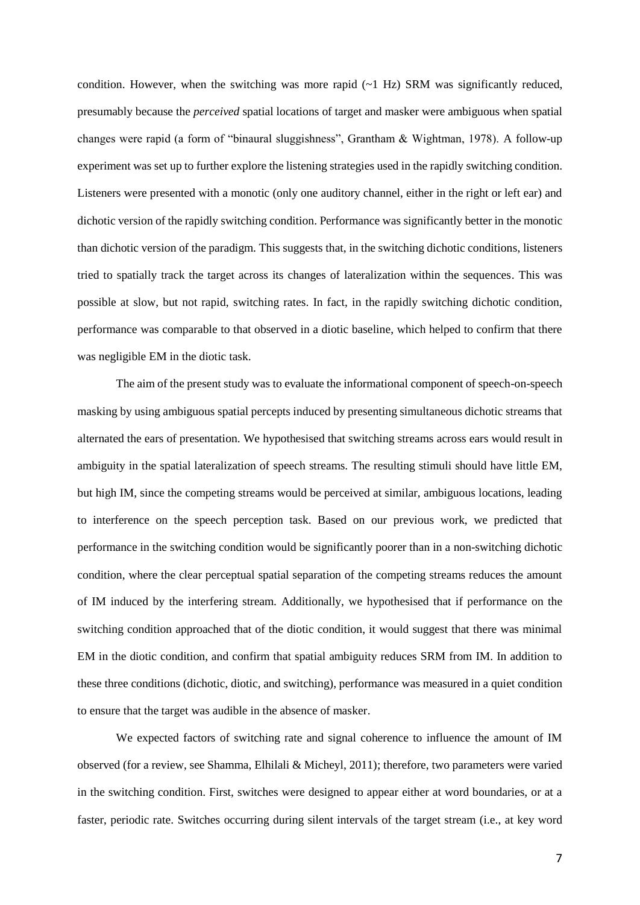condition. However, when the switching was more rapid  $(\sim 1 \text{ Hz})$  SRM was significantly reduced, presumably because the *perceived* spatial locations of target and masker were ambiguous when spatial changes were rapid (a form of "binaural sluggishness", Grantham & Wightman, 1978). A follow-up experiment was set up to further explore the listening strategies used in the rapidly switching condition. Listeners were presented with a monotic (only one auditory channel, either in the right or left ear) and dichotic version of the rapidly switching condition. Performance was significantly better in the monotic than dichotic version of the paradigm. This suggests that, in the switching dichotic conditions, listeners tried to spatially track the target across its changes of lateralization within the sequences. This was possible at slow, but not rapid, switching rates. In fact, in the rapidly switching dichotic condition, performance was comparable to that observed in a diotic baseline, which helped to confirm that there was negligible EM in the diotic task.

The aim of the present study was to evaluate the informational component of speech-on-speech masking by using ambiguous spatial percepts induced by presenting simultaneous dichotic streams that alternated the ears of presentation. We hypothesised that switching streams across ears would result in ambiguity in the spatial lateralization of speech streams. The resulting stimuli should have little EM, but high IM, since the competing streams would be perceived at similar, ambiguous locations, leading to interference on the speech perception task. Based on our previous work, we predicted that performance in the switching condition would be significantly poorer than in a non-switching dichotic condition, where the clear perceptual spatial separation of the competing streams reduces the amount of IM induced by the interfering stream. Additionally, we hypothesised that if performance on the switching condition approached that of the diotic condition, it would suggest that there was minimal EM in the diotic condition, and confirm that spatial ambiguity reduces SRM from IM. In addition to these three conditions (dichotic, diotic, and switching), performance was measured in a quiet condition to ensure that the target was audible in the absence of masker.

We expected factors of switching rate and signal coherence to influence the amount of IM observed (for a review, see Shamma, Elhilali & Micheyl, 2011); therefore, two parameters were varied in the switching condition. First, switches were designed to appear either at word boundaries, or at a faster, periodic rate. Switches occurring during silent intervals of the target stream (i.e., at key word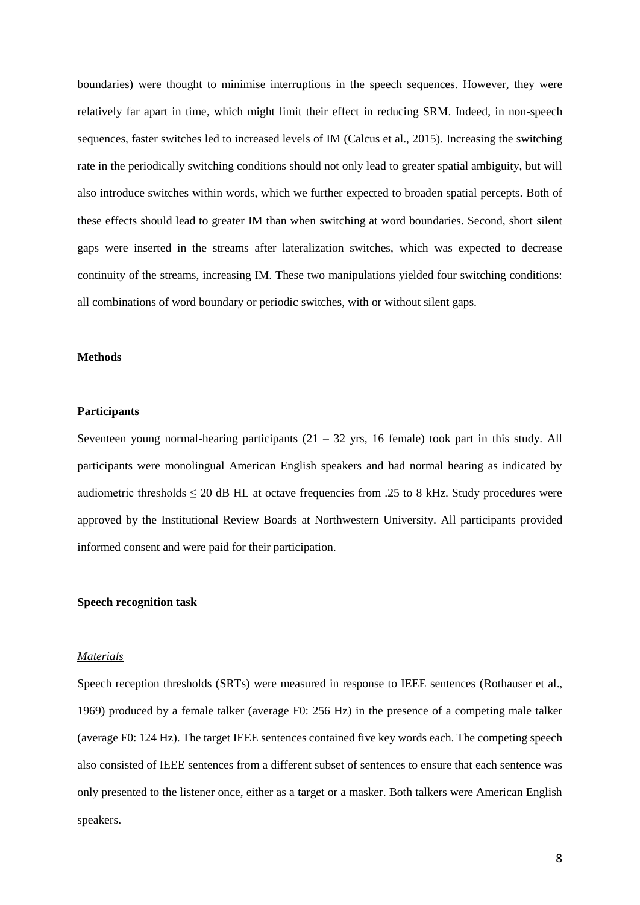boundaries) were thought to minimise interruptions in the speech sequences. However, they were relatively far apart in time, which might limit their effect in reducing SRM. Indeed, in non-speech sequences, faster switches led to increased levels of IM (Calcus et al., 2015). Increasing the switching rate in the periodically switching conditions should not only lead to greater spatial ambiguity, but will also introduce switches within words, which we further expected to broaden spatial percepts. Both of these effects should lead to greater IM than when switching at word boundaries. Second, short silent gaps were inserted in the streams after lateralization switches, which was expected to decrease continuity of the streams, increasing IM. These two manipulations yielded four switching conditions: all combinations of word boundary or periodic switches, with or without silent gaps.

## **Methods**

## **Participants**

Seventeen young normal-hearing participants  $(21 - 32 \text{ yrs}, 16 \text{ female})$  took part in this study. All participants were monolingual American English speakers and had normal hearing as indicated by audiometric thresholds  $\leq 20$  dB HL at octave frequencies from .25 to 8 kHz. Study procedures were approved by the Institutional Review Boards at Northwestern University. All participants provided informed consent and were paid for their participation.

# **Speech recognition task**

#### *Materials*

Speech reception thresholds (SRTs) were measured in response to IEEE sentences (Rothauser et al., 1969) produced by a female talker (average F0: 256 Hz) in the presence of a competing male talker (average F0: 124 Hz). The target IEEE sentences contained five key words each. The competing speech also consisted of IEEE sentences from a different subset of sentences to ensure that each sentence was only presented to the listener once, either as a target or a masker. Both talkers were American English speakers.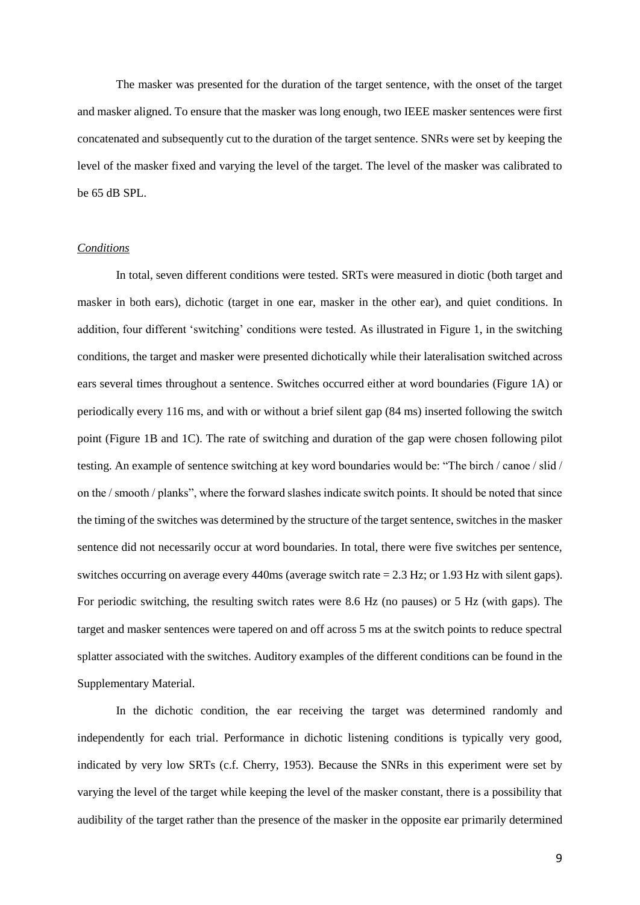The masker was presented for the duration of the target sentence, with the onset of the target and masker aligned. To ensure that the masker was long enough, two IEEE masker sentences were first concatenated and subsequently cut to the duration of the target sentence. SNRs were set by keeping the level of the masker fixed and varying the level of the target. The level of the masker was calibrated to be 65 dB SPL.

#### *Conditions*

In total, seven different conditions were tested. SRTs were measured in diotic (both target and masker in both ears), dichotic (target in one ear, masker in the other ear), and quiet conditions. In addition, four different 'switching' conditions were tested. As illustrated in Figure 1, in the switching conditions, the target and masker were presented dichotically while their lateralisation switched across ears several times throughout a sentence. Switches occurred either at word boundaries (Figure 1A) or periodically every 116 ms, and with or without a brief silent gap (84 ms) inserted following the switch point (Figure 1B and 1C). The rate of switching and duration of the gap were chosen following pilot testing. An example of sentence switching at key word boundaries would be: "The birch / canoe / slid / on the / smooth / planks", where the forward slashes indicate switch points. It should be noted that since the timing of the switches was determined by the structure of the target sentence, switches in the masker sentence did not necessarily occur at word boundaries. In total, there were five switches per sentence, switches occurring on average every 440ms (average switch rate = 2.3 Hz; or 1.93 Hz with silent gaps). For periodic switching, the resulting switch rates were 8.6 Hz (no pauses) or 5 Hz (with gaps). The target and masker sentences were tapered on and off across 5 ms at the switch points to reduce spectral splatter associated with the switches. Auditory examples of the different conditions can be found in the Supplementary Material.

In the dichotic condition, the ear receiving the target was determined randomly and independently for each trial. Performance in dichotic listening conditions is typically very good, indicated by very low SRTs (c.f. Cherry, 1953). Because the SNRs in this experiment were set by varying the level of the target while keeping the level of the masker constant, there is a possibility that audibility of the target rather than the presence of the masker in the opposite ear primarily determined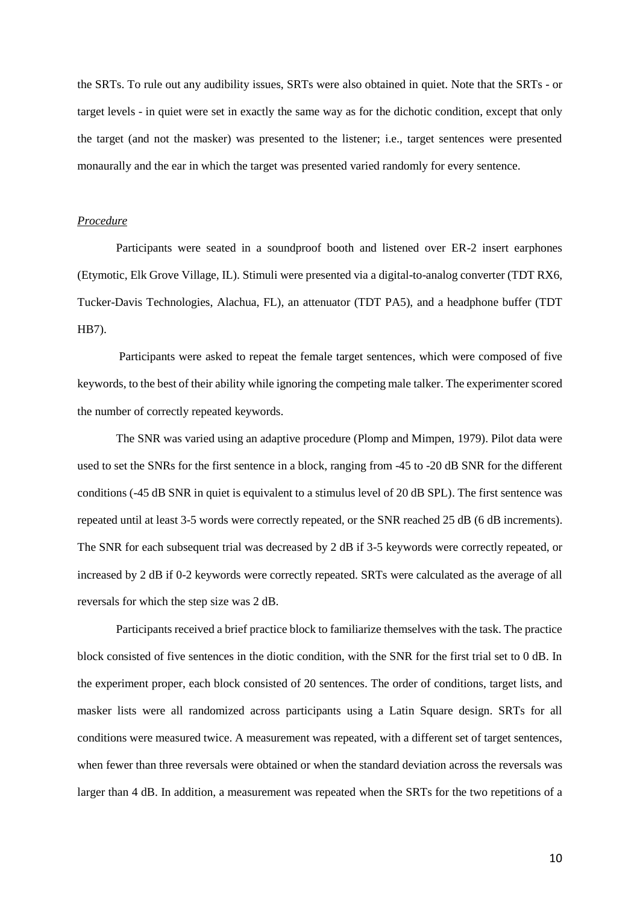the SRTs. To rule out any audibility issues, SRTs were also obtained in quiet. Note that the SRTs - or target levels - in quiet were set in exactly the same way as for the dichotic condition, except that only the target (and not the masker) was presented to the listener; i.e., target sentences were presented monaurally and the ear in which the target was presented varied randomly for every sentence.

#### *Procedure*

Participants were seated in a soundproof booth and listened over ER-2 insert earphones (Etymotic, Elk Grove Village, IL). Stimuli were presented via a digital-to-analog converter (TDT RX6, Tucker-Davis Technologies, Alachua, FL), an attenuator (TDT PA5), and a headphone buffer (TDT HB7).

Participants were asked to repeat the female target sentences, which were composed of five keywords, to the best of their ability while ignoring the competing male talker. The experimenter scored the number of correctly repeated keywords.

The SNR was varied using an adaptive procedure (Plomp and Mimpen, 1979). Pilot data were used to set the SNRs for the first sentence in a block, ranging from -45 to -20 dB SNR for the different conditions (-45 dB SNR in quiet is equivalent to a stimulus level of 20 dB SPL). The first sentence was repeated until at least 3-5 words were correctly repeated, or the SNR reached 25 dB (6 dB increments). The SNR for each subsequent trial was decreased by 2 dB if 3-5 keywords were correctly repeated, or increased by 2 dB if 0-2 keywords were correctly repeated. SRTs were calculated as the average of all reversals for which the step size was 2 dB.

Participants received a brief practice block to familiarize themselves with the task. The practice block consisted of five sentences in the diotic condition, with the SNR for the first trial set to 0 dB. In the experiment proper, each block consisted of 20 sentences. The order of conditions, target lists, and masker lists were all randomized across participants using a Latin Square design. SRTs for all conditions were measured twice. A measurement was repeated, with a different set of target sentences, when fewer than three reversals were obtained or when the standard deviation across the reversals was larger than 4 dB. In addition, a measurement was repeated when the SRTs for the two repetitions of a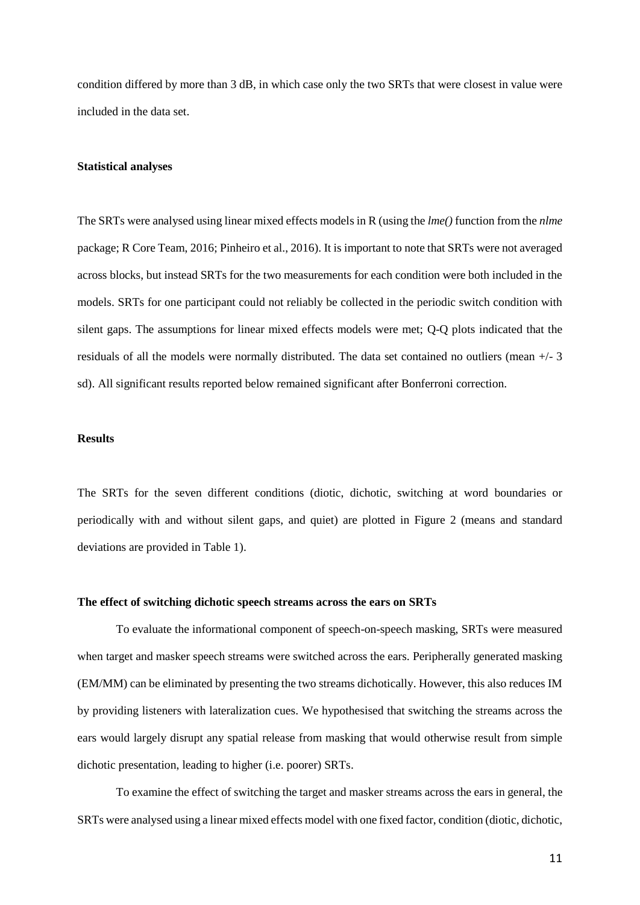condition differed by more than 3 dB, in which case only the two SRTs that were closest in value were included in the data set.

#### **Statistical analyses**

The SRTs were analysed using linear mixed effects models in R (using the *lme()* function from the *nlme* package; R Core Team, 2016; Pinheiro et al., 2016). It is important to note that SRTs were not averaged across blocks, but instead SRTs for the two measurements for each condition were both included in the models. SRTs for one participant could not reliably be collected in the periodic switch condition with silent gaps. The assumptions for linear mixed effects models were met; Q-Q plots indicated that the residuals of all the models were normally distributed. The data set contained no outliers (mean +/- 3 sd). All significant results reported below remained significant after Bonferroni correction.

## **Results**

The SRTs for the seven different conditions (diotic, dichotic, switching at word boundaries or periodically with and without silent gaps, and quiet) are plotted in Figure 2 (means and standard deviations are provided in Table 1).

#### **The effect of switching dichotic speech streams across the ears on SRTs**

To evaluate the informational component of speech-on-speech masking, SRTs were measured when target and masker speech streams were switched across the ears. Peripherally generated masking (EM/MM) can be eliminated by presenting the two streams dichotically. However, this also reduces IM by providing listeners with lateralization cues. We hypothesised that switching the streams across the ears would largely disrupt any spatial release from masking that would otherwise result from simple dichotic presentation, leading to higher (i.e. poorer) SRTs.

To examine the effect of switching the target and masker streams across the ears in general, the SRTs were analysed using a linear mixed effects model with one fixed factor, condition (diotic, dichotic,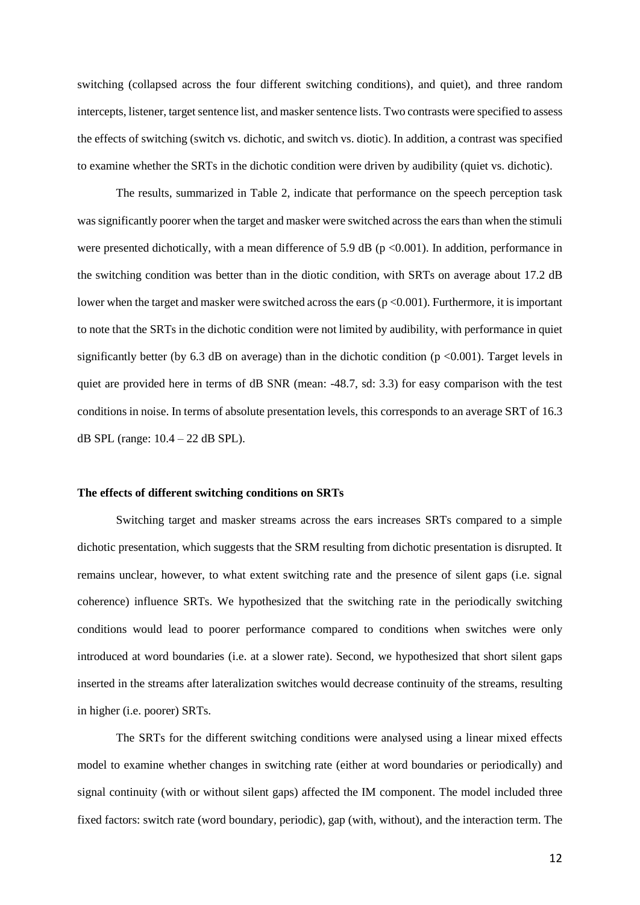switching (collapsed across the four different switching conditions), and quiet), and three random intercepts, listener, target sentence list, and masker sentence lists. Two contrasts were specified to assess the effects of switching (switch vs. dichotic, and switch vs. diotic). In addition, a contrast was specified to examine whether the SRTs in the dichotic condition were driven by audibility (quiet vs. dichotic).

The results, summarized in Table 2, indicate that performance on the speech perception task was significantly poorer when the target and masker were switched across the ears than when the stimuli were presented dichotically, with a mean difference of 5.9 dB ( $p$  <0.001). In addition, performance in the switching condition was better than in the diotic condition, with SRTs on average about 17.2 dB lower when the target and masker were switched across the ears (p <0.001). Furthermore, it is important to note that the SRTs in the dichotic condition were not limited by audibility, with performance in quiet significantly better (by  $6.3$  dB on average) than in the dichotic condition ( $p \le 0.001$ ). Target levels in quiet are provided here in terms of dB SNR (mean: -48.7, sd: 3.3) for easy comparison with the test conditions in noise. In terms of absolute presentation levels, this corresponds to an average SRT of 16.3 dB SPL (range: 10.4 – 22 dB SPL).

## **The effects of different switching conditions on SRTs**

Switching target and masker streams across the ears increases SRTs compared to a simple dichotic presentation, which suggests that the SRM resulting from dichotic presentation is disrupted. It remains unclear, however, to what extent switching rate and the presence of silent gaps (i.e. signal coherence) influence SRTs. We hypothesized that the switching rate in the periodically switching conditions would lead to poorer performance compared to conditions when switches were only introduced at word boundaries (i.e. at a slower rate). Second, we hypothesized that short silent gaps inserted in the streams after lateralization switches would decrease continuity of the streams, resulting in higher (i.e. poorer) SRTs.

The SRTs for the different switching conditions were analysed using a linear mixed effects model to examine whether changes in switching rate (either at word boundaries or periodically) and signal continuity (with or without silent gaps) affected the IM component. The model included three fixed factors: switch rate (word boundary, periodic), gap (with, without), and the interaction term. The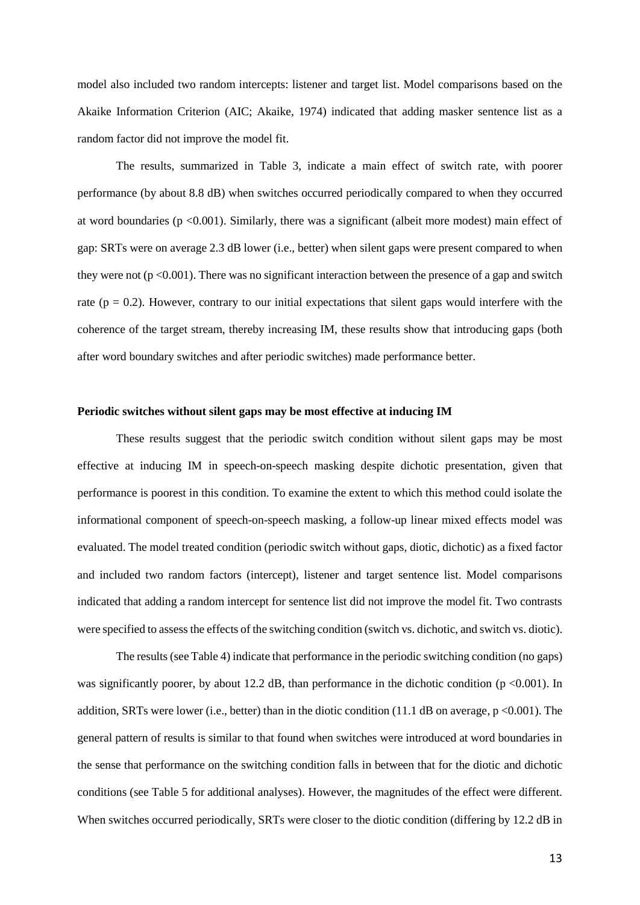model also included two random intercepts: listener and target list. Model comparisons based on the Akaike Information Criterion (AIC; Akaike, 1974) indicated that adding masker sentence list as a random factor did not improve the model fit.

The results, summarized in Table 3, indicate a main effect of switch rate, with poorer performance (by about 8.8 dB) when switches occurred periodically compared to when they occurred at word boundaries (p <0.001). Similarly, there was a significant (albeit more modest) main effect of gap: SRTs were on average 2.3 dB lower (i.e., better) when silent gaps were present compared to when they were not ( $p \le 0.001$ ). There was no significant interaction between the presence of a gap and switch rate ( $p = 0.2$ ). However, contrary to our initial expectations that silent gaps would interfere with the coherence of the target stream, thereby increasing IM, these results show that introducing gaps (both after word boundary switches and after periodic switches) made performance better.

## **Periodic switches without silent gaps may be most effective at inducing IM**

These results suggest that the periodic switch condition without silent gaps may be most effective at inducing IM in speech-on-speech masking despite dichotic presentation, given that performance is poorest in this condition. To examine the extent to which this method could isolate the informational component of speech-on-speech masking, a follow-up linear mixed effects model was evaluated. The model treated condition (periodic switch without gaps, diotic, dichotic) as a fixed factor and included two random factors (intercept), listener and target sentence list. Model comparisons indicated that adding a random intercept for sentence list did not improve the model fit. Two contrasts were specified to assess the effects of the switching condition (switch vs. dichotic, and switch vs. diotic).

The results (see Table 4) indicate that performance in the periodic switching condition (no gaps) was significantly poorer, by about 12.2 dB, than performance in the dichotic condition (p <0.001). In addition, SRTs were lower (i.e., better) than in the diotic condition (11.1 dB on average,  $p \le 0.001$ ). The general pattern of results is similar to that found when switches were introduced at word boundaries in the sense that performance on the switching condition falls in between that for the diotic and dichotic conditions (see Table 5 for additional analyses). However, the magnitudes of the effect were different. When switches occurred periodically, SRTs were closer to the diotic condition (differing by 12.2 dB in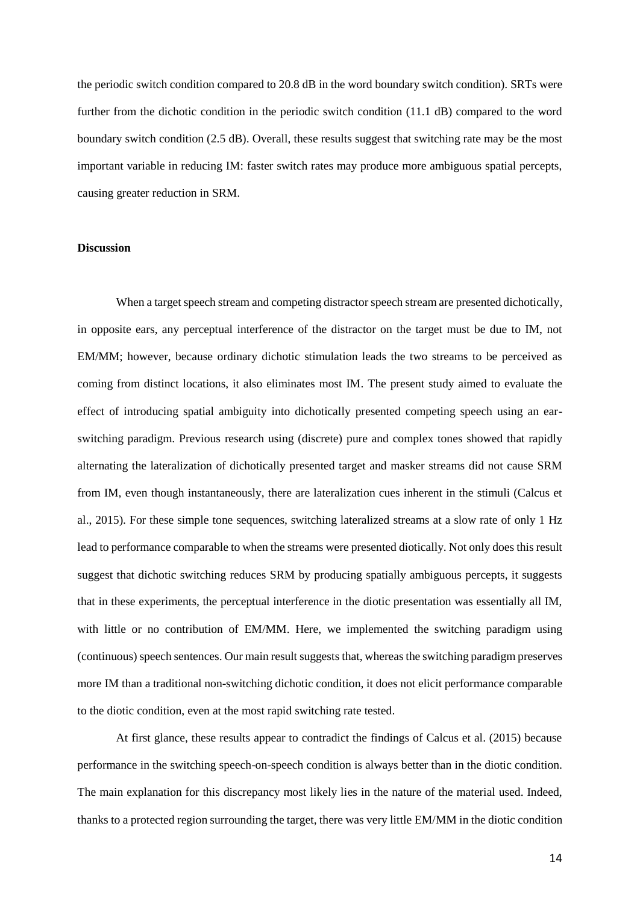the periodic switch condition compared to 20.8 dB in the word boundary switch condition). SRTs were further from the dichotic condition in the periodic switch condition (11.1 dB) compared to the word boundary switch condition (2.5 dB). Overall, these results suggest that switching rate may be the most important variable in reducing IM: faster switch rates may produce more ambiguous spatial percepts, causing greater reduction in SRM.

#### **Discussion**

When a target speech stream and competing distractor speech stream are presented dichotically, in opposite ears, any perceptual interference of the distractor on the target must be due to IM, not EM/MM; however, because ordinary dichotic stimulation leads the two streams to be perceived as coming from distinct locations, it also eliminates most IM. The present study aimed to evaluate the effect of introducing spatial ambiguity into dichotically presented competing speech using an earswitching paradigm. Previous research using (discrete) pure and complex tones showed that rapidly alternating the lateralization of dichotically presented target and masker streams did not cause SRM from IM, even though instantaneously, there are lateralization cues inherent in the stimuli (Calcus et al., 2015). For these simple tone sequences, switching lateralized streams at a slow rate of only 1 Hz lead to performance comparable to when the streams were presented diotically. Not only does this result suggest that dichotic switching reduces SRM by producing spatially ambiguous percepts, it suggests that in these experiments, the perceptual interference in the diotic presentation was essentially all IM, with little or no contribution of EM/MM. Here, we implemented the switching paradigm using (continuous) speech sentences. Our main result suggests that, whereas the switching paradigm preserves more IM than a traditional non-switching dichotic condition, it does not elicit performance comparable to the diotic condition, even at the most rapid switching rate tested.

At first glance, these results appear to contradict the findings of Calcus et al. (2015) because performance in the switching speech-on-speech condition is always better than in the diotic condition. The main explanation for this discrepancy most likely lies in the nature of the material used. Indeed, thanks to a protected region surrounding the target, there was very little EM/MM in the diotic condition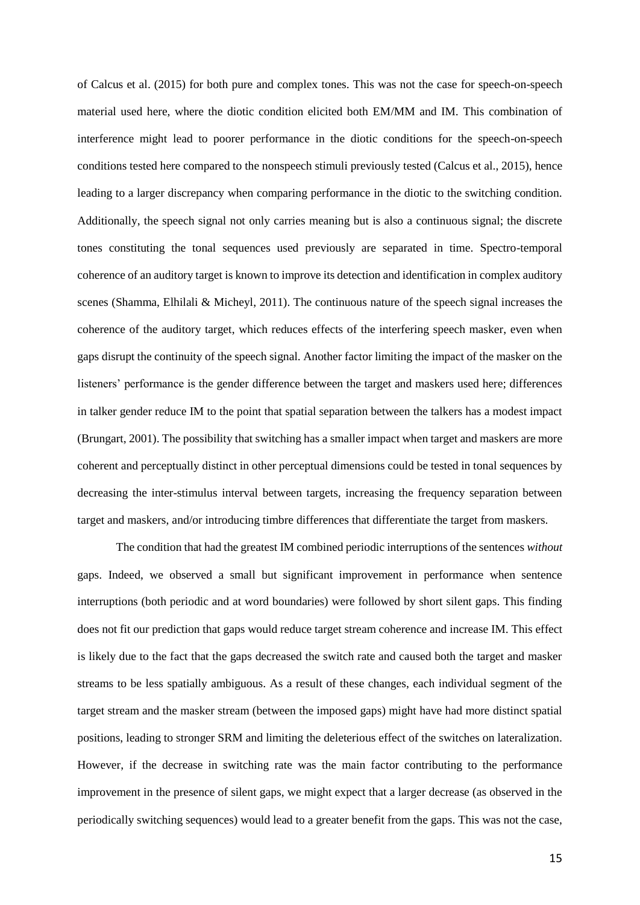of Calcus et al. (2015) for both pure and complex tones. This was not the case for speech-on-speech material used here, where the diotic condition elicited both EM/MM and IM. This combination of interference might lead to poorer performance in the diotic conditions for the speech-on-speech conditions tested here compared to the nonspeech stimuli previously tested (Calcus et al., 2015), hence leading to a larger discrepancy when comparing performance in the diotic to the switching condition. Additionally, the speech signal not only carries meaning but is also a continuous signal; the discrete tones constituting the tonal sequences used previously are separated in time. Spectro-temporal coherence of an auditory target is known to improve its detection and identification in complex auditory scenes (Shamma, Elhilali & Micheyl, 2011). The continuous nature of the speech signal increases the coherence of the auditory target, which reduces effects of the interfering speech masker, even when gaps disrupt the continuity of the speech signal. Another factor limiting the impact of the masker on the listeners' performance is the gender difference between the target and maskers used here; differences in talker gender reduce IM to the point that spatial separation between the talkers has a modest impact (Brungart, 2001). The possibility that switching has a smaller impact when target and maskers are more coherent and perceptually distinct in other perceptual dimensions could be tested in tonal sequences by decreasing the inter-stimulus interval between targets, increasing the frequency separation between target and maskers, and/or introducing timbre differences that differentiate the target from maskers.

The condition that had the greatest IM combined periodic interruptions of the sentences *without* gaps. Indeed, we observed a small but significant improvement in performance when sentence interruptions (both periodic and at word boundaries) were followed by short silent gaps. This finding does not fit our prediction that gaps would reduce target stream coherence and increase IM. This effect is likely due to the fact that the gaps decreased the switch rate and caused both the target and masker streams to be less spatially ambiguous. As a result of these changes, each individual segment of the target stream and the masker stream (between the imposed gaps) might have had more distinct spatial positions, leading to stronger SRM and limiting the deleterious effect of the switches on lateralization. However, if the decrease in switching rate was the main factor contributing to the performance improvement in the presence of silent gaps, we might expect that a larger decrease (as observed in the periodically switching sequences) would lead to a greater benefit from the gaps. This was not the case,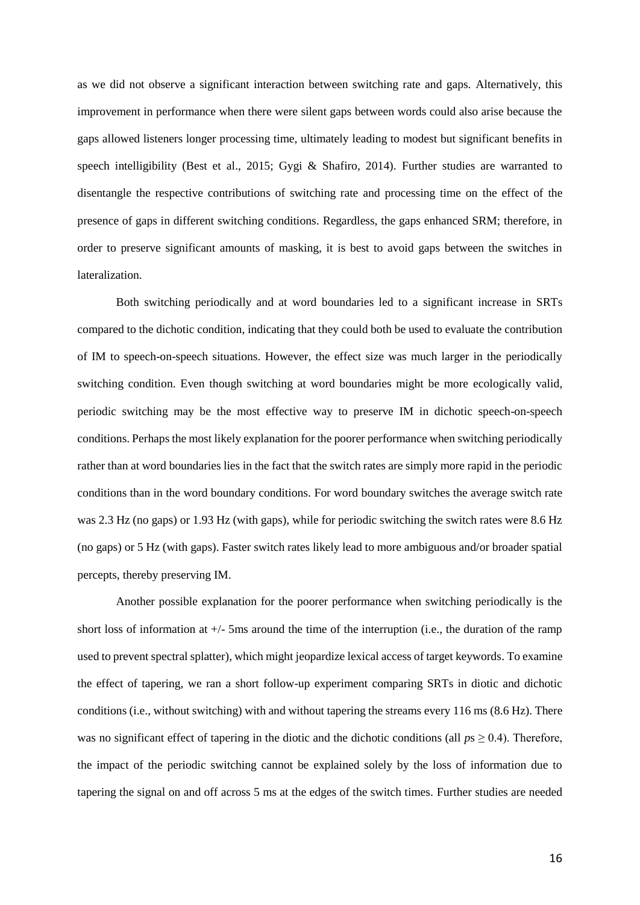as we did not observe a significant interaction between switching rate and gaps. Alternatively, this improvement in performance when there were silent gaps between words could also arise because the gaps allowed listeners longer processing time, ultimately leading to modest but significant benefits in speech intelligibility (Best et al., 2015; Gygi & Shafiro, 2014). Further studies are warranted to disentangle the respective contributions of switching rate and processing time on the effect of the presence of gaps in different switching conditions. Regardless, the gaps enhanced SRM; therefore, in order to preserve significant amounts of masking, it is best to avoid gaps between the switches in lateralization.

Both switching periodically and at word boundaries led to a significant increase in SRTs compared to the dichotic condition, indicating that they could both be used to evaluate the contribution of IM to speech-on-speech situations. However, the effect size was much larger in the periodically switching condition. Even though switching at word boundaries might be more ecologically valid, periodic switching may be the most effective way to preserve IM in dichotic speech-on-speech conditions. Perhaps the most likely explanation for the poorer performance when switching periodically rather than at word boundaries lies in the fact that the switch rates are simply more rapid in the periodic conditions than in the word boundary conditions. For word boundary switches the average switch rate was 2.3 Hz (no gaps) or 1.93 Hz (with gaps), while for periodic switching the switch rates were 8.6 Hz (no gaps) or 5 Hz (with gaps). Faster switch rates likely lead to more ambiguous and/or broader spatial percepts, thereby preserving IM.

Another possible explanation for the poorer performance when switching periodically is the short loss of information at  $+/-$  5ms around the time of the interruption (i.e., the duration of the ramp used to prevent spectral splatter), which might jeopardize lexical access of target keywords. To examine the effect of tapering, we ran a short follow-up experiment comparing SRTs in diotic and dichotic conditions (i.e., without switching) with and without tapering the streams every 116 ms (8.6 Hz). There was no significant effect of tapering in the diotic and the dichotic conditions (all  $p_s \geq 0.4$ ). Therefore, the impact of the periodic switching cannot be explained solely by the loss of information due to tapering the signal on and off across 5 ms at the edges of the switch times. Further studies are needed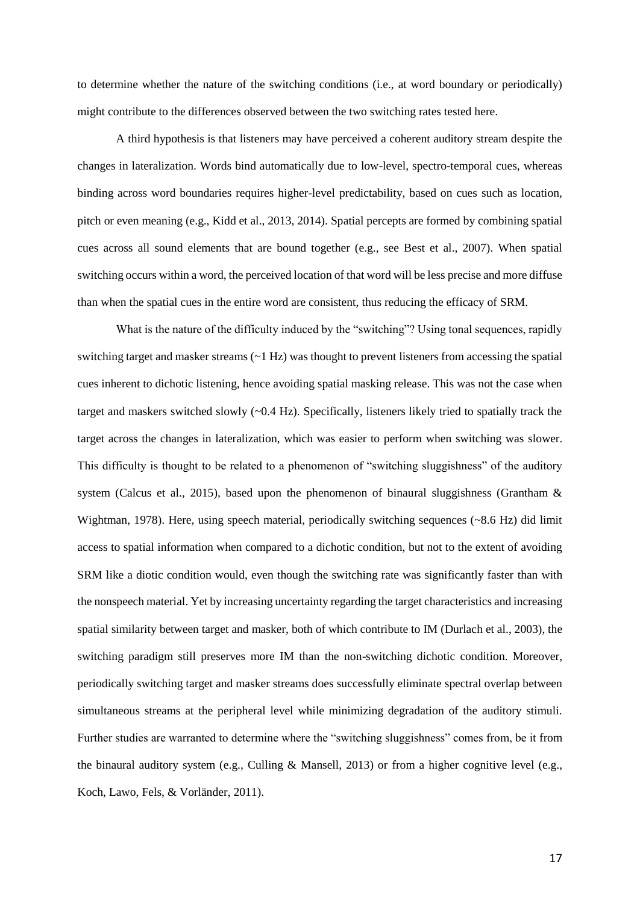to determine whether the nature of the switching conditions (i.e., at word boundary or periodically) might contribute to the differences observed between the two switching rates tested here.

A third hypothesis is that listeners may have perceived a coherent auditory stream despite the changes in lateralization. Words bind automatically due to low-level, spectro-temporal cues, whereas binding across word boundaries requires higher-level predictability, based on cues such as location, pitch or even meaning (e.g., Kidd et al., 2013, 2014). Spatial percepts are formed by combining spatial cues across all sound elements that are bound together (e.g., see Best et al., 2007). When spatial switching occurs within a word, the perceived location of that word will be less precise and more diffuse than when the spatial cues in the entire word are consistent, thus reducing the efficacy of SRM.

What is the nature of the difficulty induced by the "switching"? Using tonal sequences, rapidly switching target and masker streams (~1 Hz) was thought to prevent listeners from accessing the spatial cues inherent to dichotic listening, hence avoiding spatial masking release. This was not the case when target and maskers switched slowly (~0.4 Hz). Specifically, listeners likely tried to spatially track the target across the changes in lateralization, which was easier to perform when switching was slower. This difficulty is thought to be related to a phenomenon of "switching sluggishness" of the auditory system (Calcus et al., 2015), based upon the phenomenon of binaural sluggishness (Grantham & Wightman, 1978). Here, using speech material, periodically switching sequences (~8.6 Hz) did limit access to spatial information when compared to a dichotic condition, but not to the extent of avoiding SRM like a diotic condition would, even though the switching rate was significantly faster than with the nonspeech material. Yet by increasing uncertainty regarding the target characteristics and increasing spatial similarity between target and masker, both of which contribute to IM (Durlach et al., 2003), the switching paradigm still preserves more IM than the non-switching dichotic condition. Moreover, periodically switching target and masker streams does successfully eliminate spectral overlap between simultaneous streams at the peripheral level while minimizing degradation of the auditory stimuli. Further studies are warranted to determine where the "switching sluggishness" comes from, be it from the binaural auditory system (e.g., Culling & Mansell, 2013) or from a higher cognitive level (e.g., Koch, Lawo, Fels, & Vorländer, 2011).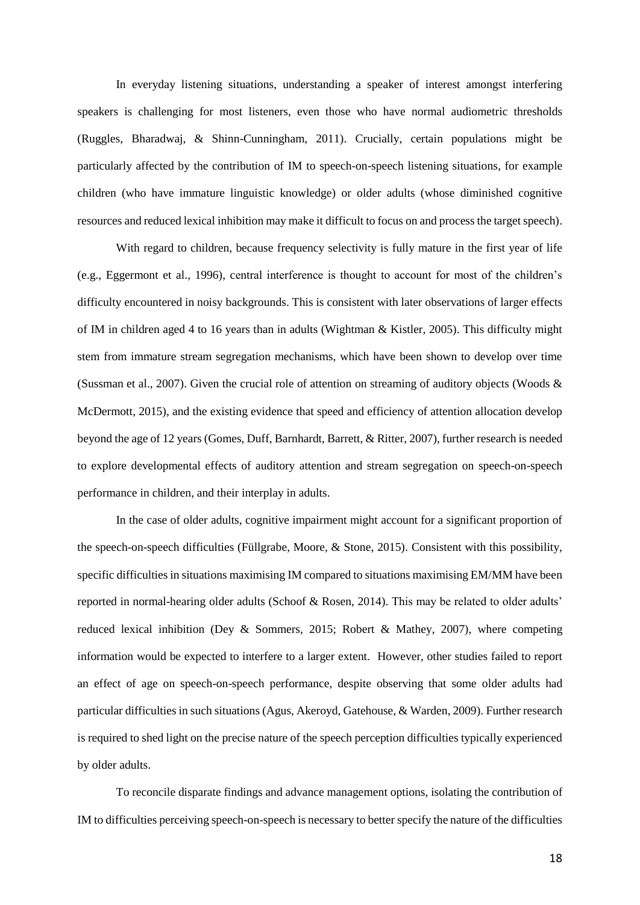In everyday listening situations, understanding a speaker of interest amongst interfering speakers is challenging for most listeners, even those who have normal audiometric thresholds (Ruggles, Bharadwaj, & Shinn-Cunningham, 2011). Crucially, certain populations might be particularly affected by the contribution of IM to speech-on-speech listening situations, for example children (who have immature linguistic knowledge) or older adults (whose diminished cognitive resources and reduced lexical inhibition may make it difficult to focus on and process the target speech).

With regard to children, because frequency selectivity is fully mature in the first year of life (e.g., Eggermont et al., 1996), central interference is thought to account for most of the children's difficulty encountered in noisy backgrounds. This is consistent with later observations of larger effects of IM in children aged 4 to 16 years than in adults (Wightman & Kistler, 2005). This difficulty might stem from immature stream segregation mechanisms, which have been shown to develop over time (Sussman et al., 2007). Given the crucial role of attention on streaming of auditory objects (Woods & McDermott, 2015), and the existing evidence that speed and efficiency of attention allocation develop beyond the age of 12 years (Gomes, Duff, Barnhardt, Barrett, & Ritter, 2007), further research is needed to explore developmental effects of auditory attention and stream segregation on speech-on-speech performance in children, and their interplay in adults.

In the case of older adults, cognitive impairment might account for a significant proportion of the speech-on-speech difficulties (Füllgrabe, Moore, & Stone, 2015). Consistent with this possibility, specific difficulties in situations maximising IM compared to situations maximising EM/MM have been reported in normal-hearing older adults (Schoof & Rosen, 2014). This may be related to older adults' reduced lexical inhibition (Dey & Sommers, 2015; Robert & Mathey, 2007), where competing information would be expected to interfere to a larger extent. However, other studies failed to report an effect of age on speech-on-speech performance, despite observing that some older adults had particular difficulties in such situations (Agus, Akeroyd, Gatehouse, & Warden, 2009). Further research is required to shed light on the precise nature of the speech perception difficulties typically experienced by older adults.

To reconcile disparate findings and advance management options, isolating the contribution of IM to difficulties perceiving speech-on-speech is necessary to better specify the nature of the difficulties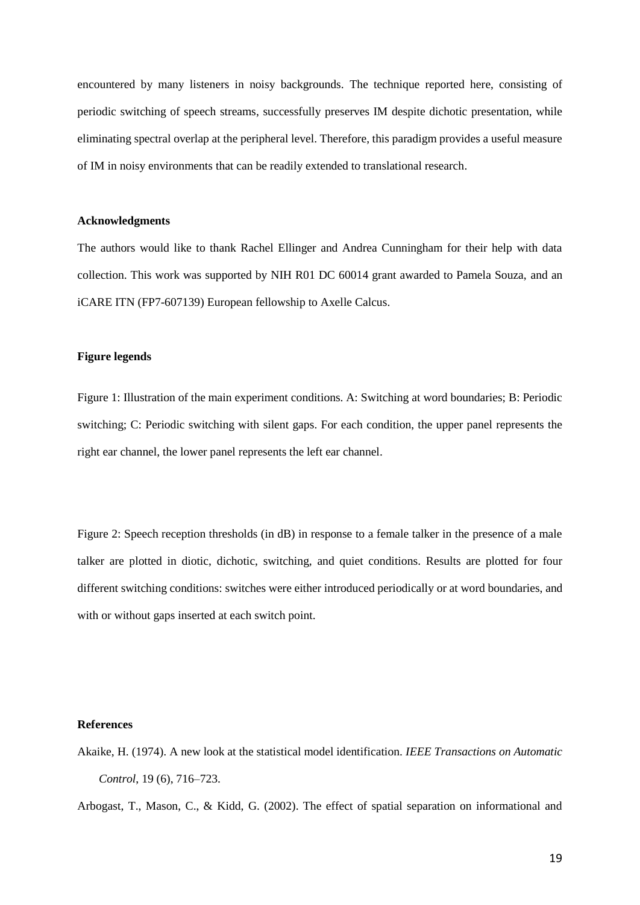encountered by many listeners in noisy backgrounds. The technique reported here, consisting of periodic switching of speech streams, successfully preserves IM despite dichotic presentation, while eliminating spectral overlap at the peripheral level. Therefore, this paradigm provides a useful measure of IM in noisy environments that can be readily extended to translational research.

## **Acknowledgments**

The authors would like to thank Rachel Ellinger and Andrea Cunningham for their help with data collection. This work was supported by NIH R01 DC 60014 grant awarded to Pamela Souza, and an iCARE ITN (FP7-607139) European fellowship to Axelle Calcus.

## **Figure legends**

Figure 1: Illustration of the main experiment conditions. A: Switching at word boundaries; B: Periodic switching; C: Periodic switching with silent gaps. For each condition, the upper panel represents the right ear channel, the lower panel represents the left ear channel.

Figure 2: Speech reception thresholds (in dB) in response to a female talker in the presence of a male talker are plotted in diotic, dichotic, switching, and quiet conditions. Results are plotted for four different switching conditions: switches were either introduced periodically or at word boundaries, and with or without gaps inserted at each switch point.

#### **References**

Akaike, H. (1974). A new look at the statistical model identification. *IEEE Transactions on Automatic Control*, 19 (6), 716–723.

Arbogast, T., Mason, C., & Kidd, G. (2002). The effect of spatial separation on informational and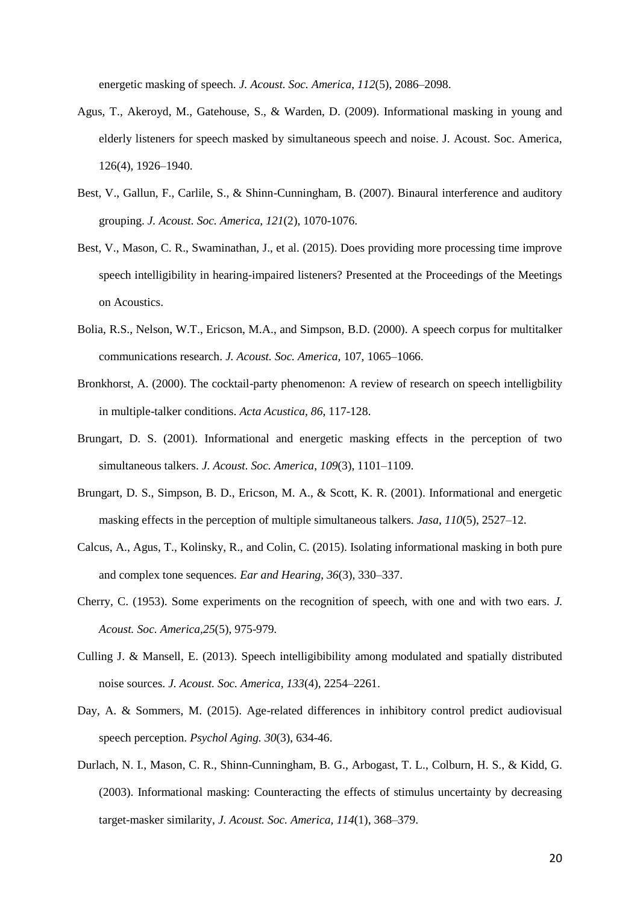energetic masking of speech. *J. Acoust. Soc. America*, *112*(5), 2086–2098.

- Agus, T., Akeroyd, M., Gatehouse, S., & Warden, D. (2009). Informational masking in young and elderly listeners for speech masked by simultaneous speech and noise. J. Acoust. Soc. America, 126(4), 1926–1940.
- Best, V., Gallun, F., Carlile, S., & Shinn-Cunningham, B. (2007). Binaural interference and auditory grouping. *J. Acoust. Soc. America*, *121*(2), 1070-1076.
- Best, V., Mason, C. R., Swaminathan, J., et al. (2015). Does providing more processing time improve speech intelligibility in hearing-impaired listeners? Presented at the Proceedings of the Meetings on Acoustics.
- Bolia, R.S., Nelson, W.T., Ericson, M.A., and Simpson, B.D. (2000). A speech corpus for multitalker communications research. *J. Acoust. Soc. America,* 107, 1065–1066.
- Bronkhorst, A. (2000). The cocktail-party phenomenon: A review of research on speech intelligbility in multiple-talker conditions. *Acta Acustica, 86*, 117-128.
- Brungart, D. S. (2001). Informational and energetic masking effects in the perception of two simultaneous talkers. *J. Acoust. Soc. America*, *109*(3), 1101–1109.
- Brungart, D. S., Simpson, B. D., Ericson, M. A., & Scott, K. R. (2001). Informational and energetic masking effects in the perception of multiple simultaneous talkers. *Jasa*, *110*(5), 2527–12.
- Calcus, A., Agus, T., Kolinsky, R., and Colin, C. (2015). Isolating informational masking in both pure and complex tone sequences. *Ear and Hearing*, *36*(3), 330–337.
- Cherry, C. (1953). Some experiments on the recognition of speech, with one and with two ears. *J. Acoust. Soc. America,25*(5), 975-979*.*
- Culling J. & Mansell, E. (2013). Speech intelligibibility among modulated and spatially distributed noise sources. *J. Acoust. Soc. America, 133*(4), 2254–2261.
- Day, A. & Sommers, M. (2015). Age-related differences in inhibitory control predict audiovisual speech perception. *Psychol Aging. 30*(3), 634-46.
- Durlach, N. I., Mason, C. R., Shinn-Cunningham, B. G., Arbogast, T. L., Colburn, H. S., & Kidd, G. (2003). Informational masking: Counteracting the effects of stimulus uncertainty by decreasing target-masker similarity, *J. Acoust. Soc. America, 114*(1), 368–379.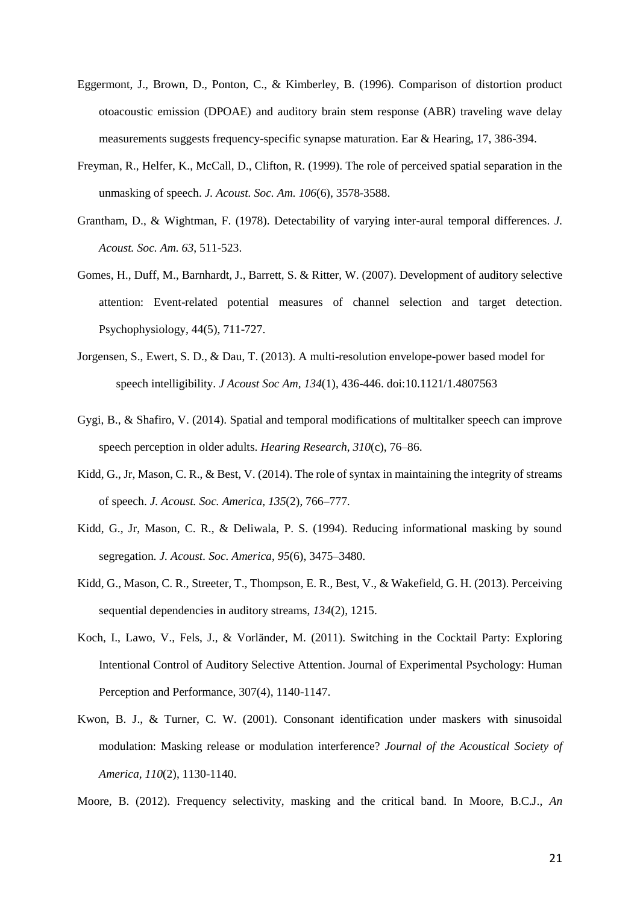- Eggermont, J., Brown, D., Ponton, C., & Kimberley, B. (1996). Comparison of distortion product otoacoustic emission (DPOAE) and auditory brain stem response (ABR) traveling wave delay measurements suggests frequency-specific synapse maturation. Ear & Hearing, 17, 386-394.
- Freyman, R., Helfer, K., McCall, D., Clifton, R. (1999). The role of perceived spatial separation in the unmasking of speech. *J. Acoust. Soc. Am. 106*(6), 3578-3588.
- Grantham, D., & Wightman, F. (1978). Detectability of varying inter-aural temporal differences. *J. Acoust. Soc. Am. 63*, 511-523.
- Gomes, H., Duff, M., Barnhardt, J., Barrett, S. & Ritter, W. (2007). Development of auditory selective attention: Event-related potential measures of channel selection and target detection. Psychophysiology, 44(5), 711-727.
- Jorgensen, S., Ewert, S. D., & Dau, T. (2013). A multi-resolution envelope-power based model for speech intelligibility. *J Acoust Soc Am, 134*(1), 436-446. doi:10.1121/1.4807563
- Gygi, B., & Shafiro, V. (2014). Spatial and temporal modifications of multitalker speech can improve speech perception in older adults. *Hearing Research*, *310*(c), 76–86.
- Kidd, G., Jr, Mason, C. R., & Best, V. (2014). The role of syntax in maintaining the integrity of streams of speech. *J. Acoust. Soc. America*, *135*(2), 766–777.
- Kidd, G., Jr, Mason, C. R., & Deliwala, P. S. (1994). Reducing informational masking by sound segregation. *J. Acoust. Soc. America*, *95*(6), 3475–3480.
- Kidd, G., Mason, C. R., Streeter, T., Thompson, E. R., Best, V., & Wakefield, G. H. (2013). Perceiving sequential dependencies in auditory streams, *134*(2), 1215.
- Koch, I., Lawo, V., Fels, J., & Vorländer, M. (2011). Switching in the Cocktail Party: Exploring Intentional Control of Auditory Selective Attention. Journal of Experimental Psychology: Human Perception and Performance, 307(4), 1140-1147.
- Kwon, B. J., & Turner, C. W. (2001). Consonant identification under maskers with sinusoidal modulation: Masking release or modulation interference? *Journal of the Acoustical Society of America, 110*(2), 1130-1140.
- Moore, B. (2012). Frequency selectivity, masking and the critical band. In Moore, B.C.J., *An*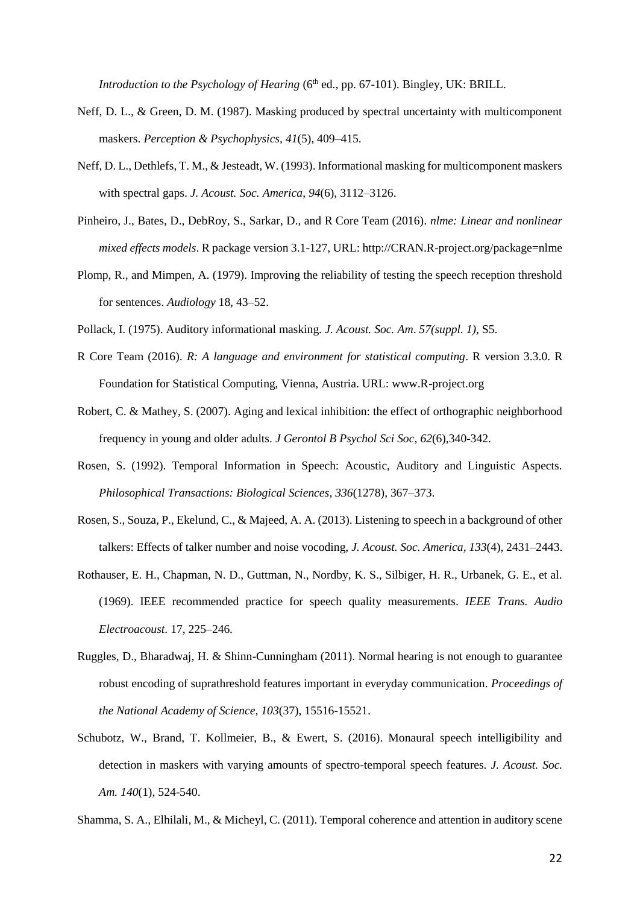*Introduction to the Psychology of Hearing* (6<sup>th</sup> ed., pp. 67-101). Bingley, UK: BRILL.

- Neff, D. L., & Green, D. M. (1987). Masking produced by spectral uncertainty with multicomponent maskers. *Perception & Psychophysics*, *41*(5), 409–415.
- Neff, D. L., Dethlefs, T. M., & Jesteadt, W. (1993). Informational masking for multicomponent maskers with spectral gaps. *J. Acoust. Soc. America*, *94*(6), 3112–3126.
- Pinheiro, J., Bates, D., DebRoy, S., Sarkar, D., and R Core Team (2016). *nlme: Linear and nonlinear mixed effects models*. R package version 3.1-127, URL: http://CRAN.R-project.org/package=nlme
- Plomp, R., and Mimpen, A. (1979). Improving the reliability of testing the speech reception threshold for sentences. *Audiology* 18, 43–52.
- Pollack, I. (1975). Auditory informational masking. *J. Acoust. Soc. Am*. *57(suppl. 1)*, S5.
- R Core Team (2016). *R: A language and environment for statistical computing*. R version 3.3.0. R Foundation for Statistical Computing, Vienna, Austria. URL: www.R-project.org
- Robert, C. & Mathey, S. (2007). Aging and lexical inhibition: the effect of orthographic neighborhood frequency in young and older adults. *J Gerontol B Psychol Sci Soc*, *62*(6),340-342.
- Rosen, S. (1992). Temporal Information in Speech: Acoustic, Auditory and Linguistic Aspects. *Philosophical Transactions: Biological Sciences*, *336*(1278), 367–373.
- Rosen, S., Souza, P., Ekelund, C., & Majeed, A. A. (2013). Listening to speech in a background of other talkers: Effects of talker number and noise vocoding, *J. Acoust. Soc. America, 133*(4), 2431–2443.
- Rothauser, E. H., Chapman, N. D., Guttman, N., Nordby, K. S., Silbiger, H. R., Urbanek, G. E., et al. (1969). IEEE recommended practice for speech quality measurements. *IEEE Trans. Audio Electroacoust*. 17, 225–246.
- Ruggles, D., Bharadwaj, H. & Shinn-Cunningham (2011). Normal hearing is not enough to guarantee robust encoding of suprathreshold features important in everyday communication. *Proceedings of the National Academy of Science, 103*(37), 15516-15521.
- Schubotz, W., Brand, T. Kollmeier, B., & Ewert, S. (2016). Monaural speech intelligibility and detection in maskers with varying amounts of spectro-temporal speech features. *J. Acoust. Soc. Am. 140*(1), 524-540.

Shamma, S. A., Elhilali, M., & Micheyl, C. (2011). Temporal coherence and attention in auditory scene